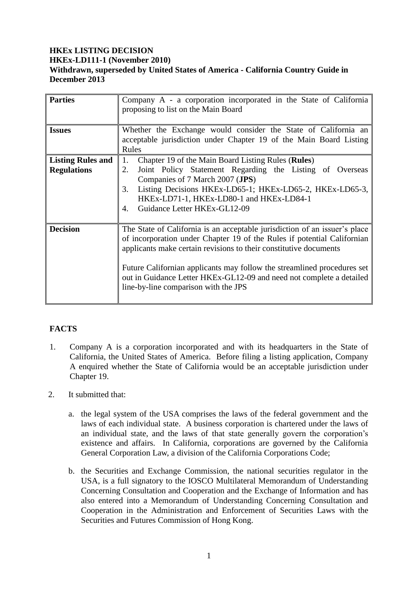### **HKEx LISTING DECISION HKEx-LD111-1 (November 2010) Withdrawn, superseded by United States of America - California Country Guide in December 2013**

| <b>Parties</b>                                 | Company A - a corporation incorporated in the State of California<br>proposing to list on the Main Board                                                                                                                                                                                                                                                                                                              |
|------------------------------------------------|-----------------------------------------------------------------------------------------------------------------------------------------------------------------------------------------------------------------------------------------------------------------------------------------------------------------------------------------------------------------------------------------------------------------------|
| <b>Issues</b>                                  | Whether the Exchange would consider the State of California an<br>acceptable jurisdiction under Chapter 19 of the Main Board Listing<br>Rules                                                                                                                                                                                                                                                                         |
| <b>Listing Rules and</b><br><b>Regulations</b> | Chapter 19 of the Main Board Listing Rules (Rules)<br>1.<br>Joint Policy Statement Regarding the Listing of Overseas<br>2.<br>Companies of 7 March 2007 (JPS)<br>Listing Decisions HKEx-LD65-1; HKEx-LD65-2, HKEx-LD65-3,<br>3.<br>HKEx-LD71-1, HKEx-LD80-1 and HKEx-LD84-1<br>Guidance Letter HKEx-GL12-09<br>4.                                                                                                     |
| <b>Decision</b>                                | The State of California is an acceptable jurisdiction of an issuer's place<br>of incorporation under Chapter 19 of the Rules if potential Californian<br>applicants make certain revisions to their constitutive documents<br>Future Californian applicants may follow the streamlined procedures set<br>out in Guidance Letter HKEx-GL12-09 and need not complete a detailed<br>line-by-line comparison with the JPS |

# **FACTS**

- 1. Company A is a corporation incorporated and with its headquarters in the State of California, the United States of America. Before filing a listing application, Company A enquired whether the State of California would be an acceptable jurisdiction under Chapter 19.
- 2. It submitted that:
	- a. the legal system of the USA comprises the laws of the federal government and the laws of each individual state. A business corporation is chartered under the laws of an individual state, and the laws of that state generally govern the corporation's existence and affairs. In California, corporations are governed by the California General Corporation Law, a division of the California Corporations Code;
	- b. the Securities and Exchange Commission, the national securities regulator in the USA, is a full signatory to the IOSCO Multilateral Memorandum of Understanding Concerning Consultation and Cooperation and the Exchange of Information and has also entered into a Memorandum of Understanding Concerning Consultation and Cooperation in the Administration and Enforcement of Securities Laws with the Securities and Futures Commission of Hong Kong.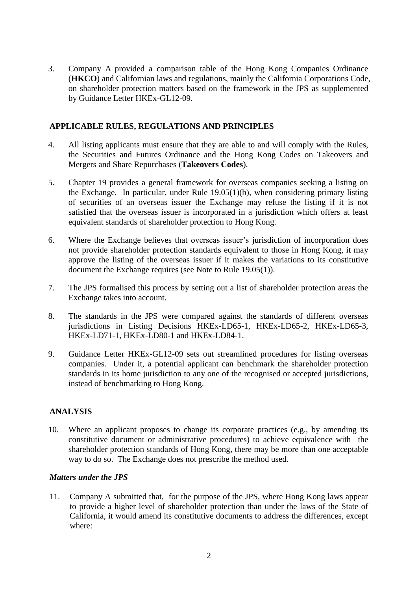3. Company A provided a comparison table of the Hong Kong Companies Ordinance (**HKCO**) and Californian laws and regulations, mainly the California Corporations Code, on shareholder protection matters based on the framework in the JPS as supplemented by Guidance Letter HKEx-GL12-09.

# **APPLICABLE RULES, REGULATIONS AND PRINCIPLES**

- 4. All listing applicants must ensure that they are able to and will comply with the Rules, the Securities and Futures Ordinance and the Hong Kong Codes on Takeovers and Mergers and Share Repurchases (**Takeovers Codes**).
- 5. Chapter 19 provides a general framework for overseas companies seeking a listing on the Exchange. In particular, under Rule 19.05(1)(b), when considering primary listing of securities of an overseas issuer the Exchange may refuse the listing if it is not satisfied that the overseas issuer is incorporated in a jurisdiction which offers at least equivalent standards of shareholder protection to Hong Kong.
- 6. Where the Exchange believes that overseas issuer's jurisdiction of incorporation does not provide shareholder protection standards equivalent to those in Hong Kong, it may approve the listing of the overseas issuer if it makes the variations to its constitutive document the Exchange requires (see Note to Rule 19.05(1)).
- 7. The JPS formalised this process by setting out a list of shareholder protection areas the Exchange takes into account.
- 8. The standards in the JPS were compared against the standards of different overseas jurisdictions in Listing Decisions HKEx-LD65-1, HKEx-LD65-2, HKEx-LD65-3, HKEx-LD71-1, HKEx-LD80-1 and HKEx-LD84-1.
- 9. Guidance Letter HKEx-GL12-09 sets out streamlined procedures for listing overseas companies. Under it, a potential applicant can benchmark the shareholder protection standards in its home jurisdiction to any one of the recognised or accepted jurisdictions, instead of benchmarking to Hong Kong.

# **ANALYSIS**

10. Where an applicant proposes to change its corporate practices (e.g., by amending its constitutive document or administrative procedures) to achieve equivalence with the shareholder protection standards of Hong Kong, there may be more than one acceptable way to do so. The Exchange does not prescribe the method used.

#### *Matters under the JPS*

11. Company A submitted that, for the purpose of the JPS, where Hong Kong laws appear to provide a higher level of shareholder protection than under the laws of the State of California, it would amend its constitutive documents to address the differences, except where: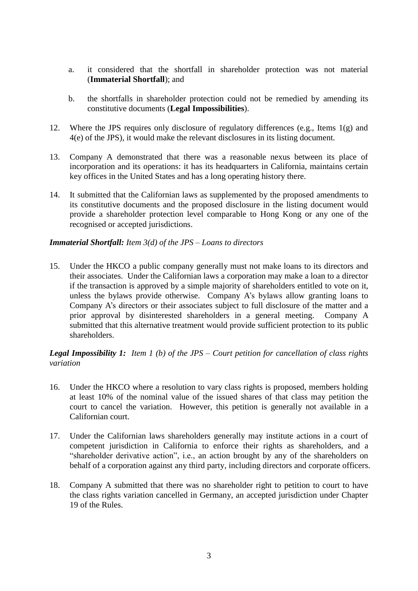- a. it considered that the shortfall in shareholder protection was not material (**Immaterial Shortfall**); and
- b. the shortfalls in shareholder protection could not be remedied by amending its constitutive documents (**Legal Impossibilities**).
- 12. Where the JPS requires only disclosure of regulatory differences (e.g., Items 1(g) and 4(e) of the JPS), it would make the relevant disclosures in its listing document.
- 13. Company A demonstrated that there was a reasonable nexus between its place of incorporation and its operations: it has its headquarters in California, maintains certain key offices in the United States and has a long operating history there.
- 14. It submitted that the Californian laws as supplemented by the proposed amendments to its constitutive documents and the proposed disclosure in the listing document would provide a shareholder protection level comparable to Hong Kong or any one of the recognised or accepted jurisdictions.

### *Immaterial Shortfall: Item 3(d) of the JPS – Loans to directors*

15. Under the HKCO a public company generally must not make loans to its directors and their associates. Under the Californian laws a corporation may make a loan to a director if the transaction is approved by a simple majority of shareholders entitled to vote on it, unless the bylaws provide otherwise. Company A's bylaws allow granting loans to Company A's directors or their associates subject to full disclosure of the matter and a prior approval by disinterested shareholders in a general meeting. Company A submitted that this alternative treatment would provide sufficient protection to its public shareholders.

### *Legal Impossibility 1: Item 1 (b) of the JPS – Court petition for cancellation of class rights variation*

- 16. Under the HKCO where a resolution to vary class rights is proposed, members holding at least 10% of the nominal value of the issued shares of that class may petition the court to cancel the variation. However, this petition is generally not available in a Californian court.
- 17. Under the Californian laws shareholders generally may institute actions in a court of competent jurisdiction in California to enforce their rights as shareholders, and a "shareholder derivative action", i.e., an action brought by any of the shareholders on behalf of a corporation against any third party, including directors and corporate officers.
- 18. Company A submitted that there was no shareholder right to petition to court to have the class rights variation cancelled in Germany, an accepted jurisdiction under Chapter 19 of the Rules.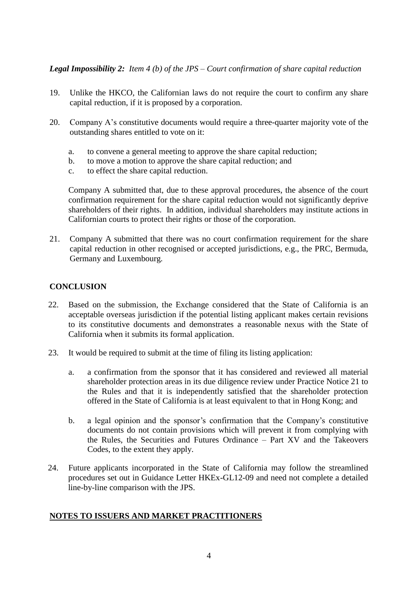*Legal Impossibility 2: Item 4 (b) of the JPS – Court confirmation of share capital reduction*

- 19. Unlike the HKCO, the Californian laws do not require the court to confirm any share capital reduction, if it is proposed by a corporation.
- 20. Company A's constitutive documents would require a three-quarter majority vote of the outstanding shares entitled to vote on it:
	- a. to convene a general meeting to approve the share capital reduction;
	- b. to move a motion to approve the share capital reduction; and
	- c. to effect the share capital reduction.

Company A submitted that, due to these approval procedures, the absence of the court confirmation requirement for the share capital reduction would not significantly deprive shareholders of their rights. In addition, individual shareholders may institute actions in Californian courts to protect their rights or those of the corporation.

21. Company A submitted that there was no court confirmation requirement for the share capital reduction in other recognised or accepted jurisdictions, e.g., the PRC, Bermuda, Germany and Luxembourg.

# **CONCLUSION**

- 22. Based on the submission, the Exchange considered that the State of California is an acceptable overseas jurisdiction if the potential listing applicant makes certain revisions to its constitutive documents and demonstrates a reasonable nexus with the State of California when it submits its formal application.
- 23. It would be required to submit at the time of filing its listing application:
	- a. a confirmation from the sponsor that it has considered and reviewed all material shareholder protection areas in its due diligence review under Practice Notice 21 to the Rules and that it is independently satisfied that the shareholder protection offered in the State of California is at least equivalent to that in Hong Kong; and
	- b. a legal opinion and the sponsor's confirmation that the Company's constitutive documents do not contain provisions which will prevent it from complying with the Rules, the Securities and Futures Ordinance – Part XV and the Takeovers Codes, to the extent they apply.
- 24. Future applicants incorporated in the State of California may follow the streamlined procedures set out in Guidance Letter HKEx-GL12-09 and need not complete a detailed line-by-line comparison with the JPS.

# **NOTES TO ISSUERS AND MARKET PRACTITIONERS**